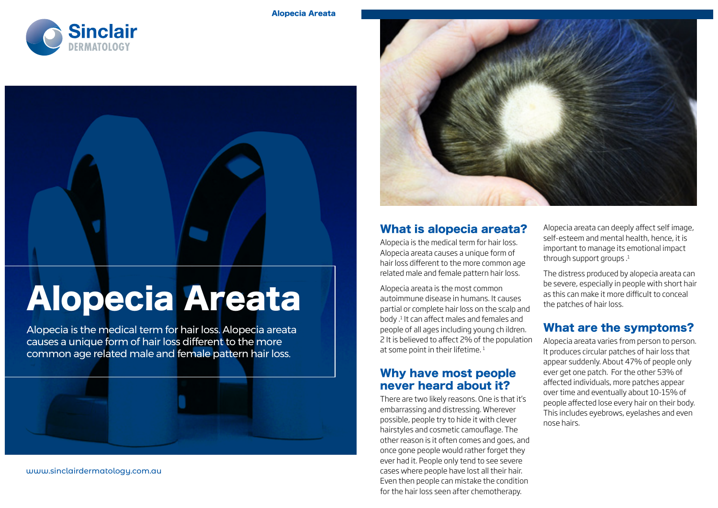



# Alopecia Areata

Alopecia is the medical term for hair loss. Alopecia areata causes a unique form of hair loss different to the more common age related male and female pattern hair loss.



www.sinclairdermatology.com.au



#### What is alopecia areata?

Alopecia is the medical term for hair loss. Alopecia areata causes a unique form of hair loss different to the more common age related male and female pattern hair loss.

Alopecia areata is the most common autoimmune disease in humans. It causes partial or complete hair loss on the scalp and body .1 It can affect males and females and people of all ages including young ch ildren. 2 It is believed to affect 2% of the population at some point in their lifetime.<sup>1</sup>

#### Why have most people never heard about it?

There are two likely reasons. One is that it's embarrassing and distressing. Wherever possible, people try to hide it with clever hairstyles and cosmetic camouflage. The other reason is it often comes and goes, and once gone people would rather forget they ever had it. People only tend to see severe cases where people have lost all their hair. Even then people can mistake the condition for the hair loss seen after chemotherapy.

Alopecia areata can deeply affect self image, self-esteem and mental health, hence, it is important to manage its emotional impact through support groups.<sup>1</sup>

The distress produced by alopecia areata can be severe, especially in people with short hair as this can make it more difficult to conceal the patches of hair loss.

### What are the symptoms?

Alopecia areata varies from person to person. It produces circular patches of hair loss that appear suddenly. About 47% of people only ever get one patch. For the other 53% of affected individuals, more patches appear over time and eventually about 10-15% of people affected lose every hair on their body. This includes eyebrows, eyelashes and even nose hairs.